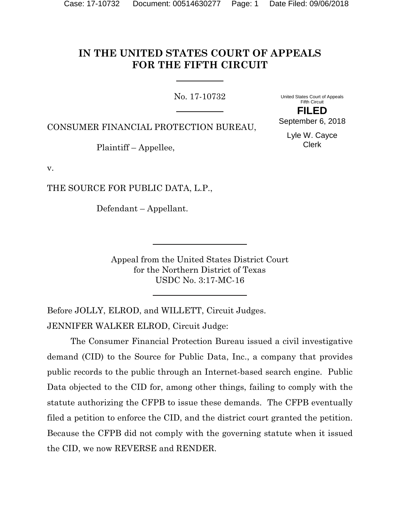# **IN THE UNITED STATES COURT OF APPEALS FOR THE FIFTH CIRCUIT**

No. 17-10732

United States Court of Appeals Fifth Circuit **FILED**

CONSUMER FINANCIAL PROTECTION BUREAU,

Plaintiff – Appellee,

v.

THE SOURCE FOR PUBLIC DATA, L.P.,

Defendant – Appellant.

Appeal from the United States District Court for the Northern District of Texas USDC No. 3:17-MC-16

Before JOLLY, ELROD, and WILLETT, Circuit Judges. JENNIFER WALKER ELROD, Circuit Judge:

The Consumer Financial Protection Bureau issued a civil investigative demand (CID) to the Source for Public Data, Inc., a company that provides public records to the public through an Internet-based search engine. Public Data objected to the CID for, among other things, failing to comply with the statute authorizing the CFPB to issue these demands. The CFPB eventually filed a petition to enforce the CID, and the district court granted the petition. Because the CFPB did not comply with the governing statute when it issued the CID, we now REVERSE and RENDER.

Lyle W. Cayce Clerk

September 6, 2018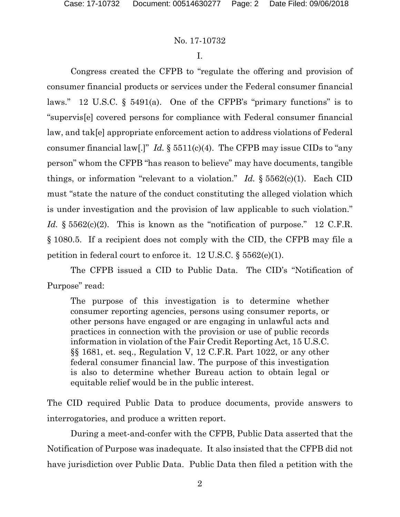# No. 17-10732

I.

Congress created the CFPB to "regulate the offering and provision of consumer financial products or services under the Federal consumer financial laws." 12 U.S.C. § 5491(a). One of the CFPB's "primary functions" is to "supervis[e] covered persons for compliance with Federal consumer financial law, and tak[e] appropriate enforcement action to address violations of Federal consumer financial law[.]" *Id.*  $\S 5511(c)(4)$ . The CFPB may issue CIDs to "any" person" whom the CFPB "has reason to believe" may have documents, tangible things, or information "relevant to a violation." *Id.*  $\S 5562(c)(1)$ . Each CID must "state the nature of the conduct constituting the alleged violation which is under investigation and the provision of law applicable to such violation." *Id.* § 5562(c)(2). This is known as the "notification of purpose." 12 C.F.R. § 1080.5. If a recipient does not comply with the CID, the CFPB may file a petition in federal court to enforce it. 12 U.S.C.  $\S 5562(e)(1)$ .

The CFPB issued a CID to Public Data. The CID's "Notification of Purpose" read:

The purpose of this investigation is to determine whether consumer reporting agencies, persons using consumer reports, or other persons have engaged or are engaging in unlawful acts and practices in connection with the provision or use of public records information in violation of the Fair Credit Reporting Act, 15 U.S.C. §§ 1681, et. seq., Regulation V, 12 C.F.R. Part 1022, or any other federal consumer financial law. The purpose of this investigation is also to determine whether Bureau action to obtain legal or equitable relief would be in the public interest.

The CID required Public Data to produce documents, provide answers to interrogatories, and produce a written report.

During a meet-and-confer with the CFPB, Public Data asserted that the Notification of Purpose was inadequate. It also insisted that the CFPB did not have jurisdiction over Public Data. Public Data then filed a petition with the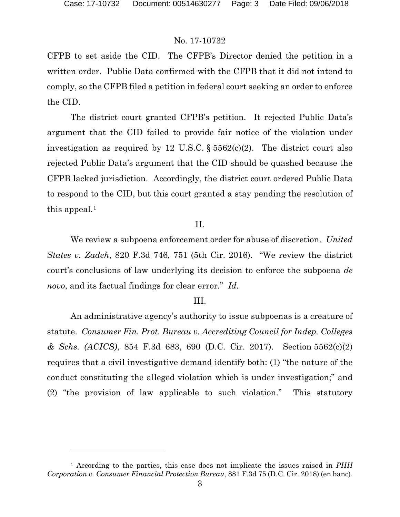l

# No. 17-10732

CFPB to set aside the CID. The CFPB's Director denied the petition in a written order. Public Data confirmed with the CFPB that it did not intend to comply, so the CFPB filed a petition in federal court seeking an order to enforce the CID.

The district court granted CFPB's petition. It rejected Public Data's argument that the CID failed to provide fair notice of the violation under investigation as required by 12 U.S.C. § 5562(c)(2). The district court also rejected Public Data's argument that the CID should be quashed because the CFPB lacked jurisdiction. Accordingly, the district court ordered Public Data to respond to the CID, but this court granted a stay pending the resolution of this appeal. $<sup>1</sup>$ </sup>

## II.

We review a subpoena enforcement order for abuse of discretion. *United States v. Zadeh*, 820 F.3d 746, 751 (5th Cir. 2016). "We review the district court's conclusions of law underlying its decision to enforce the subpoena *de novo*, and its factual findings for clear error." *Id.*

#### III.

An administrative agency's authority to issue subpoenas is a creature of statute. *Consumer Fin. Prot. Bureau v. Accrediting Council for Indep. Colleges & Schs. (ACICS)*, 854 F.3d 683, 690 (D.C. Cir. 2017). Section 5562(c)(2) requires that a civil investigative demand identify both: (1) "the nature of the conduct constituting the alleged violation which is under investigation;" and (2) "the provision of law applicable to such violation." This statutory

<span id="page-2-0"></span><sup>1</sup> According to the parties, this case does not implicate the issues raised in *PHH Corporation v. Consumer Financial Protection Bureau*, 881 F.3d 75 (D.C. Cir. 2018) (en banc).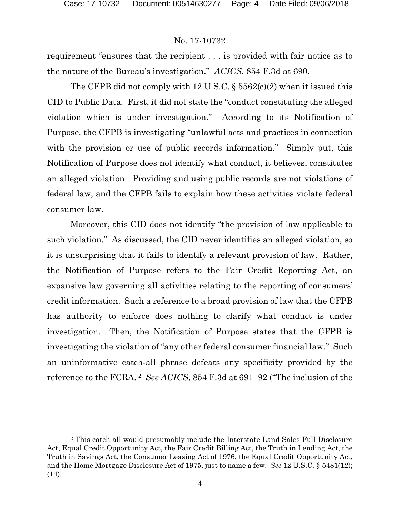l

#### No. 17-10732

requirement "ensures that the recipient . . . is provided with fair notice as to the nature of the Bureau's investigation." *ACICS*, 854 F.3d at 690.

The CFPB did not comply with 12 U.S.C. § 5562(c)(2) when it issued this CID to Public Data. First, it did not state the "conduct constituting the alleged violation which is under investigation." According to its Notification of Purpose, the CFPB is investigating "unlawful acts and practices in connection with the provision or use of public records information." Simply put, this Notification of Purpose does not identify what conduct, it believes, constitutes an alleged violation. Providing and using public records are not violations of federal law, and the CFPB fails to explain how these activities violate federal consumer law.

Moreover, this CID does not identify "the provision of law applicable to such violation." As discussed, the CID never identifies an alleged violation, so it is unsurprising that it fails to identify a relevant provision of law. Rather, the Notification of Purpose refers to the Fair Credit Reporting Act, an expansive law governing all activities relating to the reporting of consumers' credit information. Such a reference to a broad provision of law that the CFPB has authority to enforce does nothing to clarify what conduct is under investigation. Then, the Notification of Purpose states that the CFPB is investigating the violation of "any other federal consumer financial law." Such an uninformative catch-all phrase defeats any specificity provided by the reference to the FCRA. [2](#page-3-0) *See ACICS*, 854 F.3d at 691–92 ("The inclusion of the

<span id="page-3-0"></span><sup>2</sup> This catch-all would presumably include the Interstate Land Sales Full Disclosure Act, Equal Credit Opportunity Act, the Fair Credit Billing Act, the Truth in Lending Act, the Truth in Savings Act, the Consumer Leasing Act of 1976, the Equal Credit Opportunity Act, and the Home Mortgage Disclosure Act of 1975, just to name a few. *See* 12 U.S.C. § 5481(12); (14).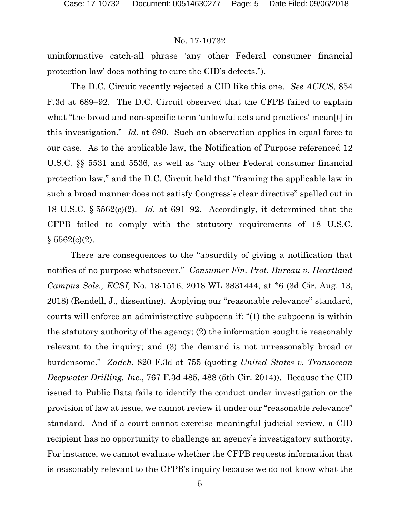# No. 17-10732

uninformative catch-all phrase 'any other Federal consumer financial protection law' does nothing to cure the CID's defects.").

The D.C. Circuit recently rejected a CID like this one. *See ACICS*, 854 F.3d at 689–92. The D.C. Circuit observed that the CFPB failed to explain what "the broad and non-specific term 'unlawful acts and practices' mean[t] in this investigation." *Id.* at 690. Such an observation applies in equal force to our case. As to the applicable law, the Notification of Purpose referenced 12 U.S.C. §§ 5531 and 5536, as well as "any other Federal consumer financial protection law," and the D.C. Circuit held that "framing the applicable law in such a broad manner does not satisfy Congress's clear directive" spelled out in 18 U.S.C. § 5562(c)(2). *Id.* at 691–92. Accordingly, it determined that the CFPB failed to comply with the statutory requirements of 18 U.S.C.  $§ 5562(c)(2).$ 

There are consequences to the "absurdity of giving a notification that notifies of no purpose whatsoever." *Consumer Fin. Prot. Bureau v. Heartland Campus Sols., ECSI,* No. 18-1516, 2018 WL 3831444, at \*6 (3d Cir. Aug. 13, 2018) (Rendell, J., dissenting). Applying our "reasonable relevance" standard, courts will enforce an administrative subpoena if: "(1) the subpoena is within the statutory authority of the agency; (2) the information sought is reasonably relevant to the inquiry; and (3) the demand is not unreasonably broad or burdensome." *Zadeh*, 820 F.3d at 755 (quoting *United States v. Transocean Deepwater Drilling, Inc.*, 767 F.3d 485, 488 (5th Cir. 2014)). Because the CID issued to Public Data fails to identify the conduct under investigation or the provision of law at issue, we cannot review it under our "reasonable relevance" standard. And if a court cannot exercise meaningful judicial review, a CID recipient has no opportunity to challenge an agency's investigatory authority. For instance, we cannot evaluate whether the CFPB requests information that is reasonably relevant to the CFPB's inquiry because we do not know what the